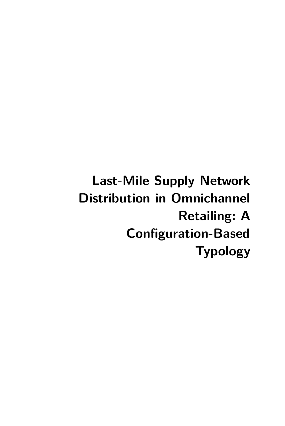**Last-Mile Supply Network Distribution in Omnichannel Retailing: A Configuration-Based Typology**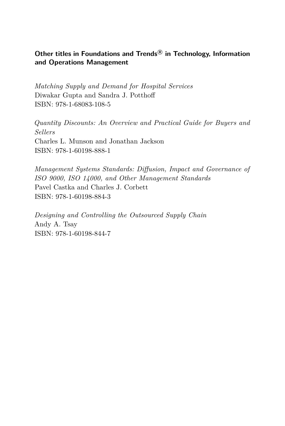#### **Other titles in Foundations and Trends <sup>R</sup> in Technology, Information and Operations Management**

*Matching Supply and Demand for Hospital Services* Diwakar Gupta and Sandra J. Potthoff ISBN: 978-1-68083-108-5

*Quantity Discounts: An Overview and Practical Guide for Buyers and Sellers* Charles L. Munson and Jonathan Jackson ISBN: 978-1-60198-888-1

*Management Systems Standards: Diffusion, Impact and Governance of ISO 9000, ISO 14000, and Other Management Standards* Pavel Castka and Charles J. Corbett ISBN: 978-1-60198-884-3

*Designing and Controlling the Outsourced Supply Chain* Andy A. Tsay ISBN: 978-1-60198-844-7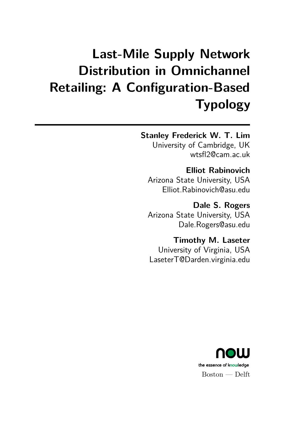# **Last-Mile Supply Network Distribution in Omnichannel Retailing: A Configuration-Based Typology**

## **Stanley Frederick W. T. Lim**

University of Cambridge, UK wtsfl2@cam.ac.uk

**Elliot Rabinovich** Arizona State University, USA Elliot.Rabinovich@asu.edu

**Dale S. Rogers** Arizona State University, USA Dale.Rogers@asu.edu

**Timothy M. Laseter** University of Virginia, USA LaseterT@Darden.virginia.edu

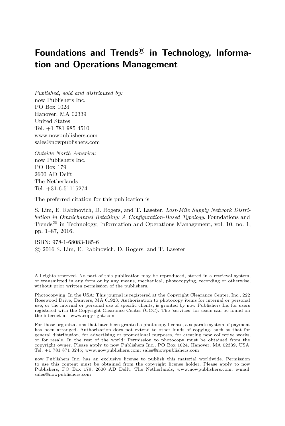## Foundations and Trends<sup>®</sup> in Technology, Informa**tion and Operations Management**

*Published, sold and distributed by:* now Publishers Inc. PO Box 1024 Hanover, MA 02339 United States  $Tel + 1-781-985-4510$ www.nowpublishers.com sales@nowpublishers.com

*Outside North America:* now Publishers Inc. PO Box 179 2600 AD Delft The Netherlands Tel. +31-6-51115274

The preferred citation for this publication is

S. Lim, E. Rabinovich, D. Rogers, and T. Laseter. *Last-Mile Supply Network Distribution in Omnichannel Retailing: A Configuration-Based Typology*. Foundations and Trends<sup>®</sup> in Technology, Information and Operations Management, vol. 10, no. 1, pp. 1–87, 2016.

ISBN: 978-1-68083-185-6 c 2016 S. Lim, E. Rabinovich, D. Rogers, and T. Laseter

All rights reserved. No part of this publication may be reproduced, stored in a retrieval system, or transmitted in any form or by any means, mechanical, photocopying, recording or otherwise, without prior written permission of the publishers.

Photocopying. In the USA: This journal is registered at the Copyright Clearance Center, Inc., 222 Rosewood Drive, Danvers, MA 01923. Authorization to photocopy items for internal or personal use, or the internal or personal use of specific clients, is granted by now Publishers Inc for users registered with the Copyright Clearance Center (CCC). The 'services' for users can be found on the internet at: www.copyright.com

For those organizations that have been granted a photocopy license, a separate system of payment has been arranged. Authorization does not extend to other kinds of copying, such as that for general distribution, for advertising or promotional purposes, for creating new collective works, or for resale. In the rest of the world: Permission to photocopy must be obtained from the copyright owner. Please apply to now Publishers Inc., PO Box 1024, Hanover, MA 02339, USA; Tel. +1 781 871 0245; www.nowpublishers.com; sales@nowpublishers.com

now Publishers Inc. has an exclusive license to publish this material worldwide. Permission to use this content must be obtained from the copyright license holder. Please apply to now Publishers, PO Box 179, 2600 AD Delft, The Netherlands, www.nowpublishers.com; e-mail: sales@nowpublishers.com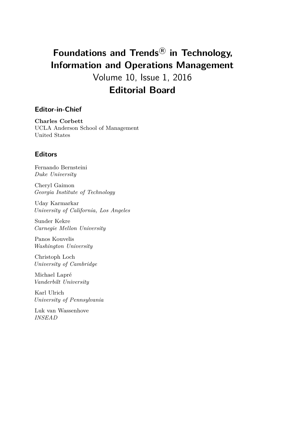# **Foundations and Trends <sup>R</sup> in Technology, Information and Operations Management** Volume 10, Issue 1, 2016 **Editorial Board**

#### **Editor-in-Chief**

**Charles Corbett** UCLA Anderson School of Management United States

#### **Editors**

Fernando Bernsteini *Duke University*

Cheryl Gaimon *Georgia Institute of Technology*

Uday Karmarkar *University of California, Los Angeles*

Sunder Kekre *Carnegie Mellon University*

Panos Kouvelis *Washington University*

Christoph Loch *University of Cambridge*

Michael Lapré *Vanderbilt University*

Karl Ulrich *University of Pennsylvania*

Luk van Wassenhove *INSEAD*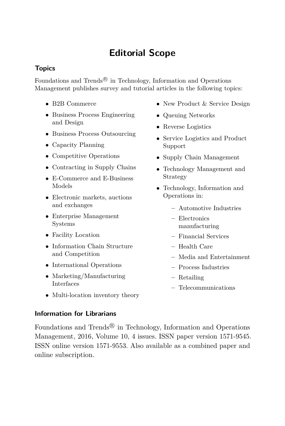# **Editorial Scope**

### **Topics**

Foundations and Trends<sup>®</sup> in Technology, Information and Operations Management publishes survey and tutorial articles in the following topics:

- B2B Commerce
- Business Process Engineering and Design
- Business Process Outsourcing
- Capacity Planning
- Competitive Operations
- Contracting in Supply Chains
- E-Commerce and E-Business Models
- Electronic markets, auctions and exchanges
- Enterprise Management Systems
- Facility Location
- Information Chain Structure and Competition
- International Operations
- Marketing/Manufacturing Interfaces
- New Product & Service Design
- Queuing Networks
- Reverse Logistics
- Service Logistics and Product Support
- Supply Chain Management
- Technology Management and Strategy
- Technology, Information and Operations in:
	- **–** Automotive Industries
	- **–** Electronics manufacturing
	- **–** Financial Services
	- **–** Health Care
	- **–** Media and Entertainment
	- **–** Process Industries
	- **–** Retailing
	- **–** Telecommunications
- Multi-location inventory theory

#### **Information for Librarians**

Foundations and Trends<sup>®</sup> in Technology, Information and Operations Management, 2016, Volume 10, 4 issues. ISSN paper version 1571-9545. ISSN online version 1571-9553. Also available as a combined paper and online subscription.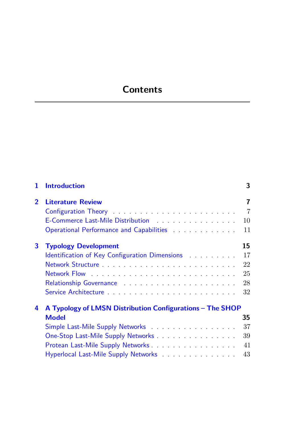## **Contents**

| 1.             | <b>Introduction</b>                                                                                                                                                                                                            | 3              |
|----------------|--------------------------------------------------------------------------------------------------------------------------------------------------------------------------------------------------------------------------------|----------------|
| $\overline{2}$ | <b>Literature Review</b>                                                                                                                                                                                                       | 7              |
|                | Configuration Theory Theory Theory and Theory Theory and Theory Theory and Theory Theory and Theory Theory Theory Theory Theory Theory Theory Theory Theory Theory Theory Theory Theory Theory Theory Theory Theory Theory The | $\overline{7}$ |
|                | E-Commerce Last-Mile Distribution <b>E-Commerce</b> Last-Mile Distribution                                                                                                                                                     | 10             |
|                |                                                                                                                                                                                                                                | 11             |
| 3              | <b>Typology Development</b>                                                                                                                                                                                                    | 15             |
|                | Identification of Key Configuration Dimensions                                                                                                                                                                                 | 17             |
|                | Network Structure                                                                                                                                                                                                              | 22             |
|                |                                                                                                                                                                                                                                | 25             |
|                | Relationship Governance Manual Accounts and the Relationship                                                                                                                                                                   | 28             |
|                |                                                                                                                                                                                                                                | 32             |
| 4              | A Typology of LMSN Distribution Configurations - The SHOP                                                                                                                                                                      |                |
|                | <b>Model</b>                                                                                                                                                                                                                   | 35             |
|                |                                                                                                                                                                                                                                | 37             |
|                | One-Stop Last-Mile Supply Networks                                                                                                                                                                                             | 39             |
|                |                                                                                                                                                                                                                                | 41             |
|                | Hyperlocal Last-Mile Supply Networks                                                                                                                                                                                           | 43             |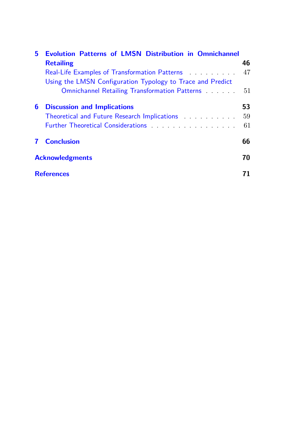| 5. | <b>Evolution Patterns of LMSN Distribution in Omnichannel</b>                                                     |    |
|----|-------------------------------------------------------------------------------------------------------------------|----|
|    | <b>Retailing</b>                                                                                                  | 46 |
|    | Real-Life Examples of Transformation Patterns                                                                     | 47 |
|    | Using the LMSN Configuration Typology to Trace and Predict                                                        |    |
|    | Omnichannel Retailing Transformation Patterns                                                                     | 51 |
| 6  | <b>Discussion and Implications</b>                                                                                | 53 |
|    | Theoretical and Future Research Implications [11] Theoretical and Future Research Implications [11] Theoretical   | 59 |
|    | Further Theoretical Considerations Products and Alexander Constanting Products and Alexander Constanting Products | 61 |
|    | <b>Conclusion</b>                                                                                                 | 66 |
|    | <b>Acknowledgments</b>                                                                                            |    |
|    | <b>References</b>                                                                                                 |    |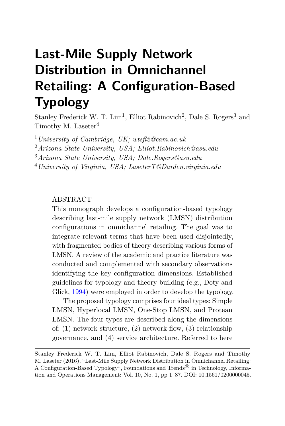# **Last-Mile Supply Network Distribution in Omnichannel Retailing: A Configuration-Based Typology**

Stanley Frederick W. T.  $\text{Lim}^1$ , Elliot Rabinovich<sup>2</sup>, Dale S. Rogers<sup>3</sup> and Timothy M. Laseter<sup>4</sup>

*University of Cambridge, UK; wtsfl2@cam.ac.uk Arizona State University, USA; Elliot.Rabinovich@asu.edu Arizona State University, USA; Dale.Rogers@asu.edu University of Virginia, USA; LaseterT@Darden.virginia.edu*

#### ABSTRACT

This monograph develops a configuration-based typology describing last-mile supply network (LMSN) distribution configurations in omnichannel retailing. The goal was to integrate relevant terms that have been used disjointedly, with fragmented bodies of theory describing various forms of LMSN. A review of the academic and practice literature was conducted and complemented with secondary observations identifying the key configuration dimensions. Established guidelines for typology and theory building (e.g., Doty and Glick, [1994\)](#page-18-0) were employed in order to develop the typology.

The proposed typology comprises four ideal types: Simple LMSN, Hyperlocal LMSN, One-Stop LMSN, and Protean LMSN. The four types are described along the dimensions of: (1) network structure, (2) network flow, (3) relationship governance, and (4) service architecture. Referred to here

Stanley Frederick W. T. Lim, Elliot Rabinovich, Dale S. Rogers and Timothy M. Laseter (2016), "Last-Mile Supply Network Distribution in Omnichannel Retailing: A Configuration-Based Typology", Foundations and Trends<sup>®</sup> in Technology, Information and Operations Management: Vol. 10, No. 1, pp 1–87. DOI: 10.1561/0200000045.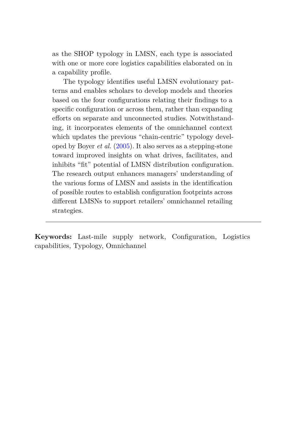as the SHOP typology in LMSN, each type is associated with one or more core logistics capabilities elaborated on in a capability profile.

The typology identifies useful LMSN evolutionary patterns and enables scholars to develop models and theories based on the four configurations relating their findings to a specific configuration or across them, rather than expanding efforts on separate and unconnected studies. Notwithstanding, it incorporates elements of the omnichannel context which updates the previous "chain-centric" typology developed by Boyer *et al.* [\(2005\)](#page-16-0). It also serves as a stepping-stone toward improved insights on what drives, facilitates, and inhibits "fit" potential of LMSN distribution configuration. The research output enhances managers' understanding of the various forms of LMSN and assists in the identification of possible routes to establish configuration footprints across different LMSNs to support retailers' omnichannel retailing strategies.

**Keywords:** Last-mile supply network, Configuration, Logistics capabilities, Typology, Omnichannel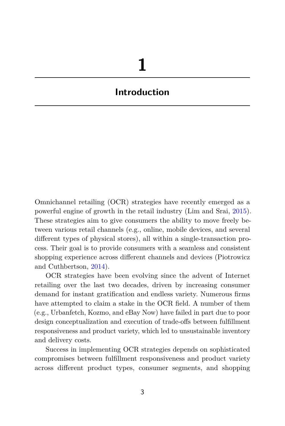## <span id="page-10-0"></span>**Introduction**

Omnichannel retailing (OCR) strategies have recently emerged as a powerful engine of growth in the retail industry (Lim and Srai, [2015\)](#page-23-0). These strategies aim to give consumers the ability to move freely between various retail channels (e.g., online, mobile devices, and several different types of physical stores), all within a single-transaction process. Their goal is to provide consumers with a seamless and consistent shopping experience across different channels and devices (Piotrowicz and Cuthbertson, [2014\)](#page-26-0).

OCR strategies have been evolving since the advent of Internet retailing over the last two decades, driven by increasing consumer demand for instant gratification and endless variety. Numerous firms have attempted to claim a stake in the OCR field. A number of them (e.g., Urbanfetch, Kozmo, and eBay Now) have failed in part due to poor design conceptualization and execution of trade-offs between fulfillment responsiveness and product variety, which led to unsustainable inventory and delivery costs.

Success in implementing OCR strategies depends on sophisticated compromises between fulfillment responsiveness and product variety across different product types, consumer segments, and shopping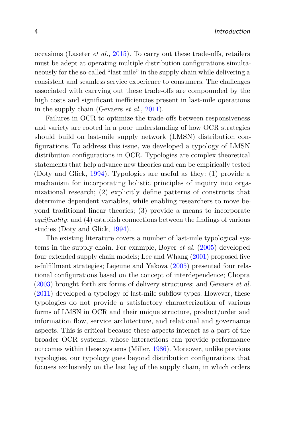occasions (Laseter *et al.*, [2015\)](#page-22-0). To carry out these trade-offs, retailers must be adept at operating multiple distribution configurations simultaneously for the so-called "last mile" in the supply chain while delivering a consistent and seamless service experience to consumers. The challenges associated with carrying out these trade-offs are compounded by the high costs and significant inefficiencies present in last-mile operations in the supply chain (Gevaers *et al.*, [2011\)](#page-19-0).

Failures in OCR to optimize the trade-offs between responsiveness and variety are rooted in a poor understanding of how OCR strategies should build on last-mile supply network (LMSN) distribution configurations. To address this issue, we developed a typology of LMSN distribution configurations in OCR. Typologies are complex theoretical statements that help advance new theories and can be empirically tested (Doty and Glick, [1994\)](#page-18-0). Typologies are useful as they: (1) provide a mechanism for incorporating holistic principles of inquiry into organizational research; (2) explicitly define patterns of constructs that determine dependent variables, while enabling researchers to move beyond traditional linear theories; (3) provide a means to incorporate *equifinality*; and (4) establish connections between the findings of various studies (Doty and Glick, [1994\)](#page-18-0).

The existing literature covers a number of last-mile typological systems in the supply chain. For example, Boyer *et al.* [\(2005\)](#page-16-0) developed four extended supply chain models; Lee and Whang [\(2001\)](#page-23-1) proposed five e-fulfillment strategies; Lejeune and Yakova [\(2005\)](#page-23-2) presented four relational configurations based on the concept of interdependence; Chopra [\(2003\)](#page-17-0) brought forth six forms of delivery structures; and Gevaers *et al.* [\(2011\)](#page-19-0) developed a typology of last-mile subflow types. However, these typologies do not provide a satisfactory characterization of various forms of LMSN in OCR and their unique structure, product/order and information flow, service architecture, and relational and governance aspects. This is critical because these aspects interact as a part of the broader OCR systems, whose interactions can provide performance outcomes within these systems (Miller, [1986\)](#page-24-0). Moreover, unlike previous typologies, our typology goes beyond distribution configurations that focuses exclusively on the last leg of the supply chain, in which orders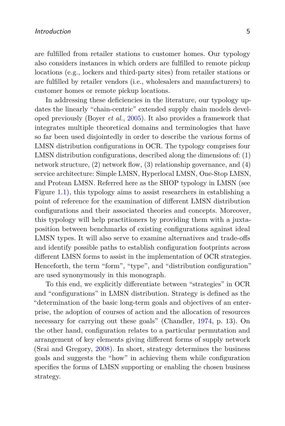are fulfilled from retailer stations to customer homes. Our typology also considers instances in which orders are fulfilled to remote pickup locations (e.g., lockers and third-party sites) from retailer stations or are fulfilled by retailer vendors (i.e., wholesalers and manufacturers) to customer homes or remote pickup locations.

In addressing these deficiencies in the literature, our typology updates the linearly "chain-centric" extended supply chain models developed previously (Boyer *et al.*, [2005\)](#page-16-0). It also provides a framework that integrates multiple theoretical domains and terminologies that have so far been used disjointedly in order to describe the various forms of LMSN distribution configurations in OCR. The typology comprises four LMSN distribution configurations, described along the dimensions of: (1) network structure, (2) network flow, (3) relationship governance, and (4) service architecture: Simple LMSN, Hyperlocal LMSN, One-Stop LMSN, and Protean LMSN. Referred here as the SHOP typology in LMSN (see Figure [1.1\)](#page-13-0), this typology aims to assist researchers in establishing a point of reference for the examination of different LMSN distribution configurations and their associated theories and concepts. Moreover, this typology will help practitioners by providing them with a juxtaposition between benchmarks of existing configurations against ideal LMSN types. It will also serve to examine alternatives and trade-offs and identify possible paths to establish configuration footprints across different LMSN forms to assist in the implementation of OCR strategies. Henceforth, the term "form", "type", and "distribution configuration" are used synonymously in this monograph.

To this end, we explicitly differentiate between "strategies" in OCR and "configurations" in LMSN distribution. Strategy is defined as the "determination of the basic long-term goals and objectives of an enterprise, the adoption of courses of action and the allocation of resources necessary for carrying out these goals" (Chandler, [1974,](#page-16-1) p. 13). On the other hand, configuration relates to a particular permutation and arrangement of key elements giving different forms of supply network (Srai and Gregory, [2008\)](#page-28-0). In short, strategy determines the business goals and suggests the "how" in achieving them while configuration specifies the forms of LMSN supporting or enabling the chosen business strategy.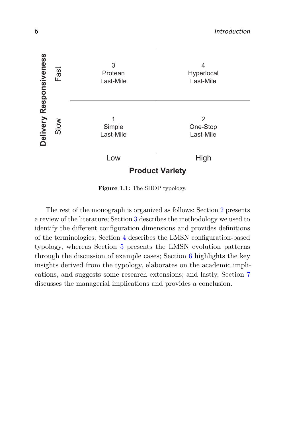<span id="page-13-0"></span>

**Figure 1.1:** The SHOP typology.

The rest of the monograph is organized as follows: Section [2](#page--1-0) presents a review of the literature; Section [3](#page--1-0) describes the methodology we used to identify the different configuration dimensions and provides definitions of the terminologies; Section [4](#page--1-0) describes the LMSN configuration-based typology, whereas Section [5](#page--1-0) presents the LMSN evolution patterns through the discussion of example cases; Section [6](#page--1-0) highlights the key insights derived from the typology, elaborates on the academic implications, and suggests some research extensions; and lastly, Section [7](#page--1-0) discusses the managerial implications and provides a conclusion.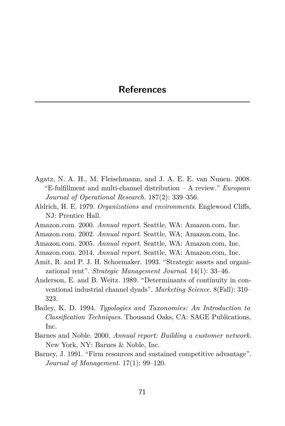## <span id="page-14-0"></span>**References**

- Agatz, N. A. H., M. Fleischmann, and J. A. E. E. van Nunen. 2008. "E-fulfillment and multi-channel distribution – A review." *European Journal of Operational Research.* 187(2): 339–356.
- Aldrich, H. E. 1979. *Organizations and environments*. Englewood Cliffs, NJ: Prentice Hall.
- Amazon.com. 2000. *Annual report*. Seattle, WA: Amazon.com, Inc.
- Amazon.com. 2002. *Annual report*. Seattle, WA: Amazon.com, Inc.
- Amazon.com. 2005. *Annual report*. Seattle, WA: Amazon.com, Inc.
- Amazon.com. 2014. *Annual report*. Seattle, WA: Amazon.com, Inc.
- Amit, R. and P. J. H. Schoemaker. 1993. "Strategic assets and organizational rent". *Strategic Management Journal*. 14(1): 33–46.
- Anderson, E. and B. Weitz. 1989. "Determinants of continuity in conventional industrial channel dyads". *Marketing Science*. 8(Fall): 310– 323.
- Bailey, K. D. 1994. *Typologies and Taxonomies: An Introduction to Classification Techniques*. Thousand Oaks, CA: SAGE Publications, Inc.
- Barnes and Noble. 2000. *Annual report: Building a customer network*. New York, NY: Barnes & Noble, Inc.
- Barney, J. 1991. "Firm resources and sustained competitive advantage". *Journal of Management*. 17(1): 99–120.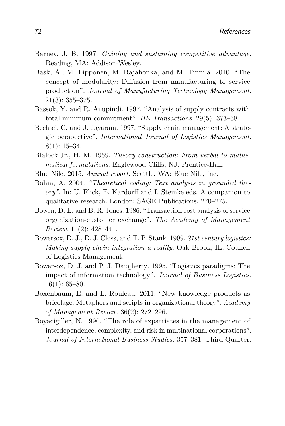- Barney, J. B. 1997. *Gaining and sustaining competitive advantage*. Reading, MA: Addison-Wesley.
- Bask, A., M. Lipponen, M. Rajahonka, and M. Tinnilä. 2010. "The concept of modularity: Diffusion from manufacturing to service production". *Journal of Manufacturing Technology Management*. 21(3): 355–375.
- Bassok, Y. and R. Anupindi. 1997. "Analysis of supply contracts with total minimum commitment". *IIE Transactions*. 29(5): 373–381.
- Bechtel, C. and J. Jayaram. 1997. "Supply chain management: A strategic perspective". *International Journal of Logistics Management*. 8(1): 15–34.
- Blalock Jr., H. M. 1969. *Theory construction: From verbal to mathematical formulations*. Englewood Cliffs, NJ: Prentice-Hall.
- Blue Nile. 2015. *Annual report*. Seattle, WA: Blue Nile, Inc.
- Böhm, A. 2004. *"Theoretical coding: Text analysis in grounded theory"*. In: U. Flick, E. Kardorff and I. Steinke eds. A companion to qualitative research. London: SAGE Publications. 270–275.
- Bowen, D. E. and B. R. Jones. 1986. "Transaction cost analysis of service organization-customer exchange". *The Academy of Management Review*. 11(2): 428–441.
- Bowersox, D. J., D. J. Closs, and T. P. Stank. 1999. *21st century logistics: Making supply chain integration a reality*. Oak Brook, IL: Council of Logistics Management.
- Bowersox, D. J. and P. J. Daugherty. 1995. "Logistics paradigms: The impact of information technology". *Journal of Business Logistics*.  $16(1): 65–80.$
- Boxenbaum, E. and L. Rouleau. 2011. "New knowledge products as bricolage: Metaphors and scripts in organizational theory". *Academy of Management Review*. 36(2): 272–296.
- Boyacigiller, N. 1990. "The role of expatriates in the management of interdependence, complexity, and risk in multinational corporations". *Journal of International Business Studies*: 357–381. Third Quarter.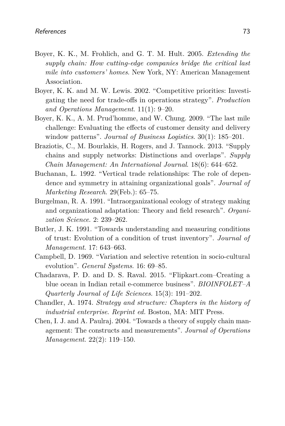- <span id="page-16-0"></span>Boyer, K. K., M. Frohlich, and G. T. M. Hult. 2005. *Extending the supply chain: How cutting-edge companies bridge the critical last mile into customers' homes*. New York, NY: American Management Association.
- Boyer, K. K. and M. W. Lewis. 2002. "Competitive priorities: Investigating the need for trade-offs in operations strategy". *Production and Operations Management*. 11(1): 9–20.
- Boyer, K. K., A. M. Prud'homme, and W. Chung. 2009. "The last mile challenge: Evaluating the effects of customer density and delivery window patterns". *Journal of Business Logistics*. 30(1): 185–201.
- Braziotis, C., M. Bourlakis, H. Rogers, and J. Tannock. 2013. "Supply chains and supply networks: Distinctions and overlaps". *Supply Chain Management: An International Journal*. 18(6): 644–652.
- Buchanan, L. 1992. "Vertical trade relationships: The role of dependence and symmetry in attaining organizational goals". *Journal of Marketing Research*. 29(Feb.): 65–75.
- Burgelman, R. A. 1991. "Intraorganizational ecology of strategy making and organizational adaptation: Theory and field research". *Organization Science*. 2: 239–262.
- Butler, J. K. 1991. "Towards understanding and measuring conditions of trust: Evolution of a condition of trust inventory". *Journal of Management*. 17: 643–663.
- Campbell, D. 1969. "Variation and selective retention in socio-cultural evolution". *General Systems*. 16: 69–85.
- Chadarava, P. D. and D. S. Raval. 2015. "Flipkart.com–Creating a blue ocean in Indian retail e-commerce business". *BIOINFOLET–A Quarterly Journal of Life Sciences*. 15(3): 191–202.
- <span id="page-16-1"></span>Chandler, A. 1974. *Strategy and structure: Chapters in the history of industrial enterprise*. *Reprint ed.* Boston, MA: MIT Press.
- Chen, I. J. and A. Paulraj. 2004. "Towards a theory of supply chain management: The constructs and measurements". *Journal of Operations Management*. 22(2): 119–150.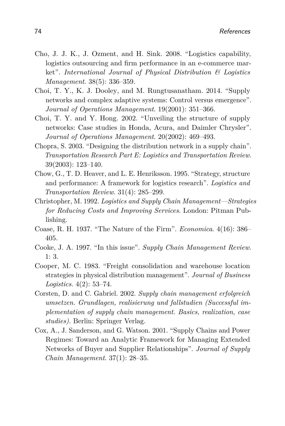- Cho, J. J. K., J. Ozment, and H. Sink. 2008. "Logistics capability, logistics outsourcing and firm performance in an e-commerce market". *International Journal of Physical Distribution & Logistics Management*. 38(5): 336–359.
- Choi, T. Y., K. J. Dooley, and M. Rungtusanatham. 2014. "Supply networks and complex adaptive systems: Control versus emergence". *Journal of Operations Management*. 19(2001): 351–366.
- Choi, T. Y. and Y. Hong. 2002. "Unveiling the structure of supply networks: Case studies in Honda, Acura, and Daimler Chrysler". *Journal of Operations Management*. 20(2002): 469–493.
- <span id="page-17-0"></span>Chopra, S. 2003. "Designing the distribution network in a supply chain". *Transportation Research Part E: Logistics and Transportation Review*. 39(2003): 123–140.
- Chow, G., T. D. Heaver, and L. E. Henriksson. 1995. "Strategy, structure and performance: A framework for logistics research". *Logistics and Transportation Review*. 31(4): 285–299.
- Christopher, M. 1992. *Logistics and Supply Chain Management—Strategies for Reducing Costs and Improving Services*. London: Pitman Publishing.
- Coase, R. H. 1937. "The Nature of the Firm". *Economica*. 4(16): 386– 405.
- Cooke, J. A. 1997. "In this issue". *Supply Chain Management Review*. 1: 3.
- Cooper, M. C. 1983. "Freight consolidation and warehouse location strategies in physical distribution management". *Journal of Business Logistics*. 4(2): 53–74.
- Corsten, D. and C. Gabriel. 2002. *Supply chain management erfolgreich umsetzen. Grundlagen, realisierung und fallstudien (Successful implementation of supply chain management. Basics, realization, case studies)*. Berlin: Springer Verlag.
- Cox, A., J. Sanderson, and G. Watson. 2001. "Supply Chains and Power Regimes: Toward an Analytic Framework for Managing Extended Networks of Buyer and Supplier Relationships". *Journal of Supply Chain Management*. 37(1): 28–35.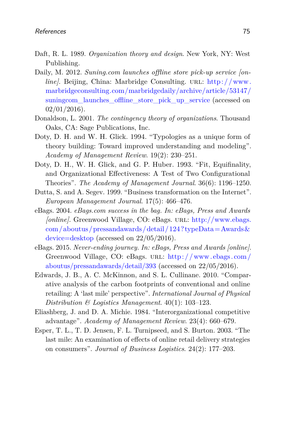- Daft, R. L. 1989. *Organization theory and design*. New York, NY: West Publishing.
- Daily, M. 2012. *Suning.com launches offline store pick-up service [online]*. Beijing, China: Marbridge Consulting. URL: http://www. [marbridgeconsulting.com/marbridgedaily/archive/article/53147/](http://www.marbridgeconsulting.com/marbridgedaily/archive/article/53147/suningcom_launches_offline_store_pick_up_service) [suningcom\\_launches\\_offline\\_store\\_pick\\_up\\_service](http://www.marbridgeconsulting.com/marbridgedaily/archive/article/53147/suningcom_launches_offline_store_pick_up_service) (accessed on  $02/01/2016$ ).
- Donaldson, L. 2001. *The contingency theory of organizations*. Thousand Oaks, CA: Sage Publications, Inc.
- <span id="page-18-0"></span>Doty, D. H. and W. H. Glick. 1994. "Typologies as a unique form of theory building: Toward improved understanding and modeling". *Academy of Management Review*. 19(2): 230–251.
- Doty, D. H., W. H. Glick, and G. P. Huber. 1993. "Fit, Equifinality, and Organizational Effectiveness: A Test of Two Configurational Theories". *The Academy of Management Journal*. 36(6): 1196–1250.
- Dutta, S. and A. Segev. 1999. "Business transformation on the Internet". *European Management Journal*. 17(5): 466–476.
- eBags. 2004. *eBags.com success in the bag. In: eBags, Press and Awards [online]*. Greenwood Village, CO: eBags. url: [http://www.ebags.](http://www.ebags.com/aboutus/pressandawards/detail/124?typeData=Awards&device=desktop)  $com/aboutus/pressandawards/detail/124?typeData=Awards&$ [device=desktop](http://www.ebags.com/aboutus/pressandawards/detail/124?typeData=Awards&device=desktop) (accessed on 22/05/2016).
- eBags. 2015. *Never-ending journey. In: eBags, Press and Awards [online]*. Greenwood Village, CO: eBags. URL: http://www.ebags.com/ [aboutus/pressandawards/detail/393](http://www.ebags.com/aboutus/pressandawards/detail/393) (accessed on 22/05/2016).
- Edwards, J. B., A. C. McKinnon, and S. L. Cullinane. 2010. "Comparative analysis of the carbon footprints of conventional and online retailing: A 'last mile' perspective". *International Journal of Physical Distribution & Logistics Management*. 40(1): 103–123.
- Eliashberg, J. and D. A. Michie. 1984. "Interorganizational competitive advantage". *Academy of Management Review*. 23(4): 660–679.
- Esper, T. L., T. D. Jensen, F. L. Turnipseed, and S. Burton. 2003. "The last mile: An examination of effects of online retail delivery strategies on consumers". *Journal of Business Logistics*. 24(2): 177–203.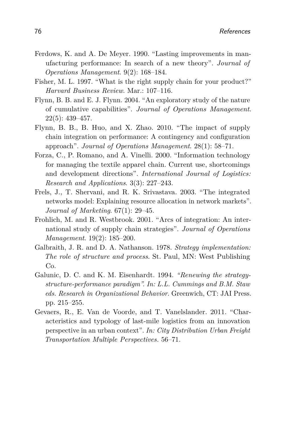- Ferdows, K. and A. De Meyer. 1990. "Lasting improvements in manufacturing performance: In search of a new theory". *Journal of Operations Management*. 9(2): 168–184.
- Fisher, M. L. 1997. "What is the right supply chain for your product?" *Harvard Business Review*. Mar.: 107–116.
- Flynn, B. B. and E. J. Flynn. 2004. "An exploratory study of the nature of cumulative capabilities". *Journal of Operations Management*. 22(5): 439–457.
- Flynn, B. B., B. Huo, and X. Zhao. 2010. "The impact of supply chain integration on performance: A contingency and configuration approach". *Journal of Operations Management*. 28(1): 58–71.
- Forza, C., P. Romano, and A. Vinelli. 2000. "Information technology for managing the textile apparel chain. Current use, shortcomings and development directions". *International Journal of Logistics: Research and Applications*. 3(3): 227–243.
- Frels, J., T. Shervani, and R. K. Srivastava. 2003. "The integrated networks model: Explaining resource allocation in network markets". *Journal of Marketing*. 67(1): 29–45.
- Frohlich, M. and R. Westbrook. 2001. "Arcs of integration: An international study of supply chain strategies". *Journal of Operations Management*. 19(2): 185–200.
- Galbraith, J. R. and D. A. Nathanson. 1978. *Strategy implementation: The role of structure and process*. St. Paul, MN: West Publishing Co.
- Galunic, D. C. and K. M. Eisenhardt. 1994. *"Renewing the strategystructure-performance paradigm". In: L.L. Cummings and B.M. Staw eds. Research in Organizational Behavior*. Greenwich, CT: JAI Press. pp. 215–255.
- <span id="page-19-0"></span>Gevaers, R., E. Van de Voorde, and T. Vanelslander. 2011. "Characteristics and typology of last-mile logistics from an innovation perspective in an urban context". *In: City Distribution Urban Freight Transportation Multiple Perspectives.* 56–71.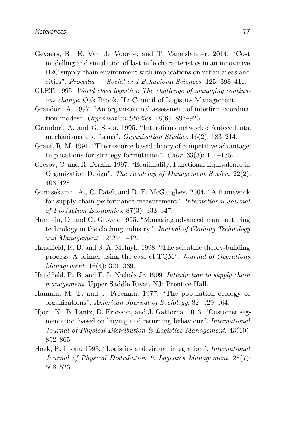- Gevaers, R., E. Van de Voorde, and T. Vanelslander. 2014. "Cost modelling and simulation of last-mile characteristics in an innovative B2C supply chain environment with implications on urban areas and cities". *Procedia — Social and Behavioral Sciences*. 125: 398–411.
- GLRT. 1995. *World class logistics: The challenge of managing continuous change*. Oak Brook, IL: Council of Logistics Management.
- Grandori, A. 1997. "An organisational assessment of interfirm coordination modes". *Organisation Studies*. 18(6): 897–925.
- Grandori, A. and G. Soda. 1995. "Inter-firms networks: Antecedents, mechanisms and forms". *Organisation Studies*. 16(2): 183–214.
- Grant, R. M. 1991. "The resource-based theory of competitive advantage: Implications for strategy formulation". *Calir*. 33(3): 114–135.
- Gresov, C. and R. Drazin. 1997. "Equifinality: Functional Equivalence in Organization Design". *The Academy of Management Review*. 22(2): 403–428.
- Gunasekaran, A., C. Patel, and R. E. McGaughey. 2004. "A framework for supply chain performance measurement". *International Journal of Production Economics*. 87(3): 333–347.
- Hamblin, D. and G. Groves. 1995. "Managing advanced manufacturing technology in the clothing industry". *Journal of Clothing Technology and Management*. 12(2): 1–12.
- Handfield, R. B. and S. A. Melnyk. 1998. "The scientific theory-building process: A primer using the case of TQM". *Journal of Operations Management*. 16(4): 321–339.
- Handfield, R. B. and E. L. Nichols Jr. 1999. *Introduction to supply chain management*. Upper Saddle River, NJ: Prentice-Hall.
- Hannan, M. T. and J. Freeman. 1977. "The population ecology of organizations". *American Journal of Sociology*. 82: 929–964.
- Hjort, K., B. Lantz, D. Ericsson, and J. Gattorna. 2013. "Customer segmentation based on buying and returning behaviour". *International Journal of Physical Distribution & Logistics Management*. 43(10): 852–865.
- Hoek, R. I. van. 1998. "Logistics and virtual integration". *International Journal of Physical Distribution & Logistics Management*. 28(7): 508–523.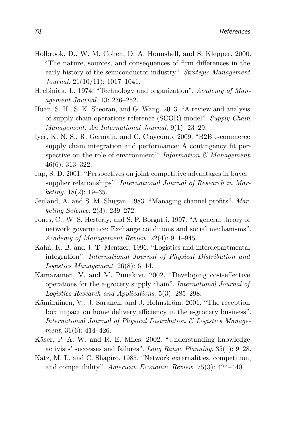- Holbrook, D., W. M. Cohen, D. A. Hounshell, and S. Klepper. 2000. "The nature, sources, and consequences of firm differences in the early history of the semiconductor industry". *Strategic Management Journal*. 21(10/11): 1017–1041.
- Hrebiniak, L. 1974. "Technology and organization". *Academy of Management Journal*. 13: 236–252.
- Huan, S. H., S. K. Sheoran, and G. Wang. 2013. "A review and analysis of supply chain operations reference (SCOR) model". *Supply Chain Management: An International Journal*. 9(1): 23–29.
- Iyer, K. N. S., R. Germain, and C. Claycomb. 2009. "B2B e-commerce supply chain integration and performance: A contingency fit perspective on the role of environment". *Information & Management*. 46(6): 313–322.
- Jap, S. D. 2001. "Perspectives on joint competitive advantages in buyer– supplier relationships". *International Journal of Research in Marketing*. 18(2): 19–35.
- Jeuland, A. and S. M. Shugan. 1983. "Managing channel profits". *Marketing Science*. 2(3): 239–272.
- Jones, C., W. S. Hesterly, and S. P. Borgatti. 1997. "A general theory of network governance: Exchange conditions and social mechanisms". *Academy of Management Review*. 22(4): 911–945.
- Kahn, K. B. and J. T. Mentzer. 1996. "Logistics and interdepartmental integration". *International Journal of Physical Distribution and Logistics Management*. 26(8): 6–14.
- Kämäräinen, V. and M. Punakivi. 2002. "Developing cost-effective operations for the e-grocery supply chain". *International Journal of Logistics Research and Applications*. 5(3): 285–298.
- Kämäräinen, V., J. Saranen, and J. Holmström. 2001. "The reception box impact on home delivery efficiency in the e-grocery business". *International Journal of Physical Distribution & Logistics Management*. 31(6): 414–426.
- Käser, P. A. W. and R. E. Miles. 2002. "Understanding knowledge activists' successes and failures". *Long Range Planning*. 35(1): 9–28.
- Katz, M. L. and C. Shapiro. 1985. "Network externalities, competition, and compatibility". *American Economic Review*. 75(3): 424–440.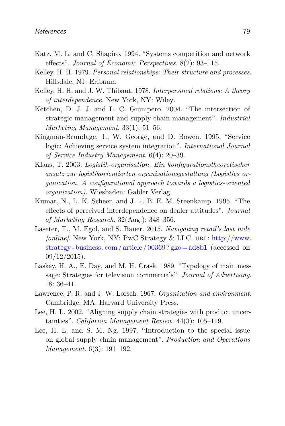- Katz, M. L. and C. Shapiro. 1994. "Systems competition and network effects". *Journal of Economic Perspectives*. 8(2): 93–115.
- Kelley, H. H. 1979. *Personal relationships: Their structure and processes*. Hillsdale, NJ: Erlbaum.
- Kelley, H. H. and J. W. Thibaut. 1978. *Interpersonal relations: A theory of interdependence*. New York, NY: Wiley.
- Ketchen, D. J. J. and L. C. Giunipero. 2004. "The intersection of strategic management and supply chain management". *Industrial Marketing Management*. 33(1): 51–56.
- Kingman-Brundage, J., W. George, and D. Bowen. 1995. "Service logic: Achieving service system integration". *International Journal of Service Industry Management*. 6(4): 20–39.
- Klaas, T. 2003. *Logistik-organisation. Ein konfigurationstheoretischer ansatz zur logistikorientierten organisationsgestaltung (Logistics organization. A configurational approach towards a logistics-oriented organization)*. Wiesbaden: Gabler Verlag.
- Kumar, N., L. K. Scheer, and J. .-.-B. E. M. Steenkamp. 1995. "The effects of perceived interdependence on dealer attitudes". *Journal of Marketing Research*. 32(Aug.): 348–356.
- <span id="page-22-0"></span>Laseter, T., M. Egol, and S. Bauer. 2015. *Navigating retail's last mile [online]*. New York, NY: PwC Strategy & LLC. URL: [http://www.](http://www.strategy-business.com/article/00369?gko=ad8b1) [strategy - business. com / article / 00369 ? gko= ad8b1](http://www.strategy-business.com/article/00369?gko=ad8b1) (accessed on  $09/12/2015$ .
- Laskey, H. A., E. Day, and M. H. Crask. 1989. "Typology of main message: Strategies for television commercials". *Journal of Advertising*. 18: 36–41.
- Lawrence, P. R. and J. W. Lorsch. 1967. *Organization and environment*. Cambridge, MA: Harvard University Press.
- Lee, H. L. 2002. "Aligning supply chain strategies with product uncertainties". *California Management Review*. 44(3): 105–119.
- Lee, H. L. and S. M. Ng. 1997. "Introduction to the special issue on global supply chain management". *Production and Operations Management*. 6(3): 191–192.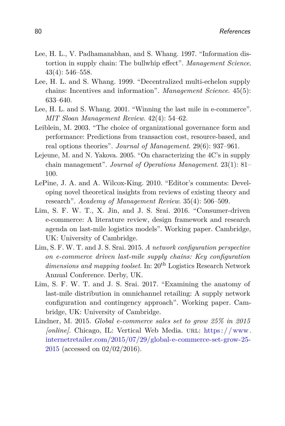- Lee, H. L., V. Padhamanabhan, and S. Whang. 1997. "Information distortion in supply chain: The bullwhip effect". *Management Science*. 43(4): 546–558.
- Lee, H. L. and S. Whang. 1999. "Decentralized multi-echelon supply chains: Incentives and information". *Management Science*. 45(5): 633–640.
- <span id="page-23-1"></span>Lee, H. L. and S. Whang. 2001. "Winning the last mile in e-commerce". *MIT Sloan Management Review*. 42(4): 54–62.
- Leiblein, M. 2003. "The choice of organizational governance form and performance: Predictions from transaction cost, resource-based, and real options theories". *Journal of Management*. 29(6): 937–961.
- <span id="page-23-2"></span>Lejeune, M. and N. Yakova. 2005. "On characterizing the 4C's in supply chain management". *Journal of Operations Management*. 23(1): 81– 100.
- LePine, J. A. and A. Wilcox-King. 2010. "Editor's comments: Developing novel theoretical insights from reviews of existing theory and research". *Academy of Management Review*. 35(4): 506–509.
- Lim, S. F. W. T., X. Jin, and J. S. Srai. 2016. "Consumer-driven e-commerce: A literature review, design framework and research agenda on last-mile logistics models". Working paper. Cambridge, UK: University of Cambridge.
- <span id="page-23-0"></span>Lim, S. F. W. T. and J. S. Srai. 2015. *A network configuration perspective on e-commerce driven last-mile supply chains: Key configuration* dimensions and mapping toolset. In: 20<sup>th</sup> Logistics Research Network Annual Conference. Derby, UK.
- Lim, S. F. W. T. and J. S. Srai. 2017. "Examining the anatomy of last-mile distribution in omnichannel retailing: A supply network configuration and contingency approach". Working paper. Cambridge, UK: University of Cambridge.
- Lindner, M. 2015. *Global e-commerce sales set to grow 25% in 2015 [online]*. Chicago, IL: Vertical Web Media. url: https://www. [internetretailer.com/2015/07/29/global-e-commerce-set-grow-25-](https://www.internetretailer.com/2015/07/29/global-e-commerce-set-grow-25-2015) [2015](https://www.internetretailer.com/2015/07/29/global-e-commerce-set-grow-25-2015) (accessed on 02/02/2016).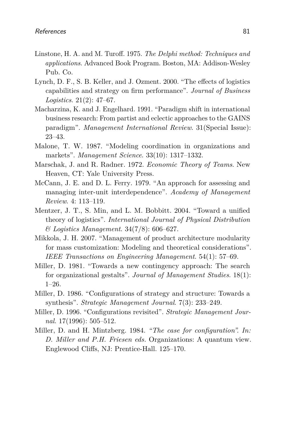- Linstone, H. A. and M. Turoff. 1975. *The Delphi method: Techniques and applications*. Advanced Book Program. Boston, MA: Addison-Wesley Pub. Co.
- Lynch, D. F., S. B. Keller, and J. Ozment. 2000. "The effects of logistics capabilities and strategy on firm performance". *Journal of Business Logistics*. 21(2): 47–67.
- Macharzina, K. and J. Engelhard. 1991. "Paradigm shift in international business research: From partist and eclectic approaches to the GAINS paradigm". *Management International Review*. 31(Special Issue): 23–43.
- Malone, T. W. 1987. "Modeling coordination in organizations and markets". *Management Science*. 33(10): 1317–1332.
- Marschak, J. and R. Radner. 1972. *Economic Theory of Teams*. New Heaven, CT: Yale University Press.
- McCann, J. E. and D. L. Ferry. 1979. "An approach for assessing and managing inter-unit interdependence". *Academy of Management Review*. 4: 113–119.
- Mentzer, J. T., S. Min, and L. M. Bobbitt. 2004. "Toward a unified theory of logistics". *International Journal of Physical Distribution & Logistics Management*. 34(7/8): 606–627.
- Mikkola, J. H. 2007. "Management of product architecture modularity for mass customization: Modeling and theoretical considerations". *IEEE Transactions on Engineering Management*. 54(1): 57–69.
- Miller, D. 1981. "Towards a new contingency approach: The search for organizational gestalts". *Journal of Management Studies*. 18(1): 1–26.
- <span id="page-24-0"></span>Miller, D. 1986. "Configurations of strategy and structure: Towards a synthesis". *Strategic Management Journal*. 7(3): 233–249.
- Miller, D. 1996. "Configurations revisited". *Strategic Management Journal*. 17(1996): 505–512.
- Miller, D. and H. Mintzberg. 1984. *"The case for configuration". In: D. Miller and P.H. Friesen eds.* Organizations: A quantum view. Englewood Cliffs, NJ: Prentice-Hall. 125–170.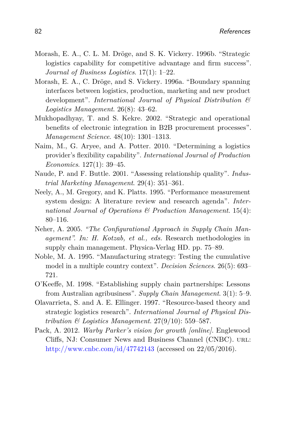- Morash, E. A., C. L. M. Dröge, and S. K. Vickery. 1996b. "Strategic logistics capability for competitive advantage and firm success". *Journal of Business Logistics*. 17(1): 1–22.
- Morash, E. A., C. Dröge, and S. Vickery. 1996a. "Boundary spanning interfaces between logistics, production, marketing and new product development". *International Journal of Physical Distribution & Logistics Management*. 26(8): 43–62.
- Mukhopadhyay, T. and S. Kekre. 2002. "Strategic and operational benefits of electronic integration in B2B procurement processes". *Management Science*. 48(10): 1301–1313.
- Naim, M., G. Aryee, and A. Potter. 2010. "Determining a logistics provider's flexibility capability". *International Journal of Production Economics*. 127(1): 39–45.
- Naude, P. and F. Buttle. 2001. "Assessing relationship quality". *Industrial Marketing Management*. 29(4): 351–361.
- Neely, A., M. Gregory, and K. Platts. 1995. "Performance measurement system design: A literature review and research agenda". *International Journal of Operations & Production Management*. 15(4): 80–116.
- Neher, A. 2005. *"The Configurational Approach in Supply Chain Management". In: H. Kotzab, et al., eds.* Research methodologies in supply chain management. Physica-Verlag HD. pp. 75–89.
- Noble, M. A. 1995. "Manufacturing strategy: Testing the cumulative model in a multiple country context". *Decision Sciences*. 26(5): 693– 721.
- O'Keeffe, M. 1998. "Establishing supply chain partnerships: Lessons from Australian agribusiness". *Supply Chain Management*. 3(1): 5–9.
- Olavarrieta, S. and A. E. Ellinger. 1997. "Resource-based theory and strategic logistics research". *International Journal of Physical Distribution & Logistics Management*. 27(9/10): 559–587.
- Pack, A. 2012. *Warby Parker's vision for growth [online]*. Englewood Cliffs, NJ: Consumer News and Business Channel (CNBC). URL: <http://www.cnbc.com/id/47742143> (accessed on 22/05/2016).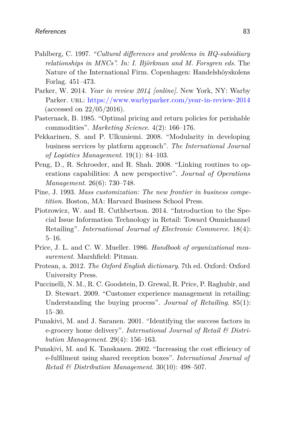- Pahlberg, C. 1997. *"Cultural differences and problems in HQ-subsidiary relationships in MNCs". In: I. Björkman and M. Forsgren eds.* The Nature of the International Firm. Copenhagen: Handelshöyskolens Forlag. 451–473.
- Parker, W. 2014. *Year in review 2014 [online]*. New York, NY: Warby Parker. url: <https://www.warbyparker.com/year-in-review-2014> (accessed on 22/05/2016).
- Pasternack, B. 1985. "Optimal pricing and return policies for perishable commodities". *Marketing Science*. 4(2): 166–176.
- Pekkarinen, S. and P. Ulkuniemi. 2008. "Modularity in developing business services by platform approach". *The International Journal of Logistics Management*. 19(1): 84–103.
- Peng, D., R. Schroeder, and R. Shah. 2008. "Linking routines to operations capabilities: A new perspective". *Journal of Operations Management*. 26(6): 730–748.
- Pine, J. 1993. *Mass customization: The new frontier in business competition*. Boston, MA: Harvard Business School Press.
- <span id="page-26-0"></span>Piotrowicz, W. and R. Cuthbertson. 2014. "Introduction to the Special Issue Information Technology in Retail: Toward Omnichannel Retailing". *International Journal of Electronic Commerce*. 18(4): 5–16.
- Price, J. L. and C. W. Mueller. 1986. *Handbook of organizational measurement*. Marshfield: Pitman.
- Protean, a. 2012. *The Oxford English dictionary*. 7th ed. Oxford: Oxford University Press.
- Puccinelli, N. M., R. C. Goodstein, D. Grewal, R. Price, P. Raghubir, and D. Stewart. 2009. "Customer experience management in retailing: Understanding the buying process". *Journal of Retailing*. 85(1): 15–30.
- Punakivi, M. and J. Saranen. 2001. "Identifying the success factors in e-grocery home delivery". *International Journal of Retail & Distribution Management*. 29(4): 156–163.
- Punakivi, M. and K. Tanskanen. 2002. "Increasing the cost efficiency of e-fulfilment using shared reception boxes". *International Journal of Retail & Distribution Management*. 30(10): 498–507.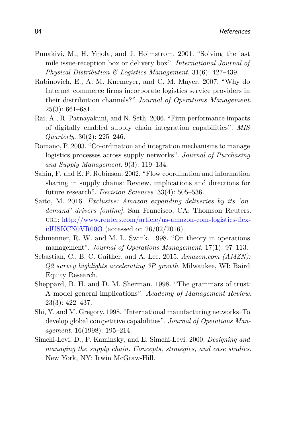- Punakivi, M., H. Yrjola, and J. Holmstrom. 2001. "Solving the last mile issue-reception box or delivery box". *International Journal of Physical Distribution & Logistics Management*. 31(6): 427–439.
- Rabinovich, E., A. M. Knemeyer, and C. M. Mayer. 2007. "Why do Internet commerce firms incorporate logistics service providers in their distribution channels?" *Journal of Operations Management*. 25(3): 661–681.
- Rai, A., R. Patnayakuni, and N. Seth. 2006. "Firm performance impacts of digitally enabled supply chain integration capabilities". *MIS Quarterly*. 30(2): 225–246.
- Romano, P. 2003. "Co-ordination and integration mechanisms to manage logistics processes across supply networks". *Journal of Purchasing and Supply Management*. 9(3): 119–134.
- Sahin, F. and E. P. Robinson. 2002. "Flow coordination and information sharing in supply chains: Review, implications and directions for future research". *Decision Sciences*. 33(4): 505–536.
- Saito, M. 2016. *Exclusive: Amazon expanding deliveries by its 'ondemand' drivers [online]*. San Francisco, CA: Thomson Reuters. url: [http://www.reuters.com/article/us-amazon-com-logistics-flex](http://www.reuters.com/article/us-amazon-com-logistics-flex-idUSKCN0VR00O)[idUSKCN0VR00O](http://www.reuters.com/article/us-amazon-com-logistics-flex-idUSKCN0VR00O) (accessed on 26/02/2016).
- Schmenner, R. W. and M. L. Swink. 1998. "On theory in operations management". *Journal of Operations Management*. 17(1): 97–113.
- Sebastian, C., B. C. Gaither, and A. Lee. 2015. *Amazon.com (AMZN): Q2 survey highlights accelerating 3P growth*. Milwaukee, WI: Baird Equity Research.
- Sheppard, B. H. and D. M. Sherman. 1998. "The grammars of trust: A model general implications". *Academy of Management Review*. 23(3): 422–437.
- Shi, Y. and M. Gregory. 1998. "International manufacturing networks–To develop global competitive capabilities". *Journal of Operations Management*. 16(1998): 195–214.
- Simchi-Levi, D., P. Kaminsky, and E. Simchi-Levi. 2000. *Designing and managing the supply chain. Concepts, strategies, and case studies*. New York, NY: Irwin McGraw-Hill.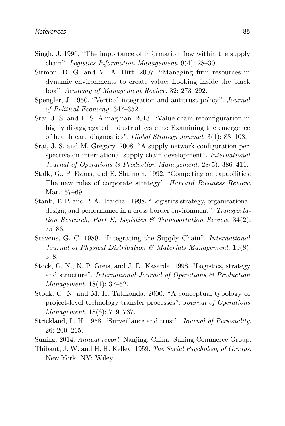- Singh, J. 1996. "The importance of information flow within the supply chain". *Logistics Information Management*. 9(4): 28–30.
- Sirmon, D. G. and M. A. Hitt. 2007. "Managing firm resources in dynamic environments to create value: Looking inside the black box". *Academy of Management Review*. 32: 273–292.
- Spengler, J. 1950. "Vertical integration and antitrust policy". *Journal of Political Economy*: 347–352.
- Srai, J. S. and L. S. Alinaghian. 2013. "Value chain reconfiguration in highly disaggregated industrial systems: Examining the emergence of health care diagnostics". *Global Strategy Journal*. 3(1): 88–108.
- <span id="page-28-0"></span>Srai, J. S. and M. Gregory. 2008. "A supply network configuration perspective on international supply chain development". *International Journal of Operations & Production Management*. 28(5): 386–411.
- Stalk, G., P. Evans, and E. Shulman. 1992. "Competing on capabilities: The new rules of corporate strategy". *Harvard Business Review*. Mar.: 57–69.
- Stank, T. P. and P. A. Traichal. 1998. "Logistics strategy, organizational design, and performance in a cross border environment". *Transportation Research, Part E, Logistics & Transportation Review*. 34(2): 75–86.
- Stevens, G. C. 1989. "Integrating the Supply Chain". *International Journal of Physical Distribution & Materials Management*. 19(8): 3–8.
- Stock, G. N., N. P. Greis, and J. D. Kasarda. 1998. "Logistics, strategy and structure". *International Journal of Operations & Production Management*. 18(1): 37–52.
- Stock, G. N. and M. H. Tatikonda. 2000. "A conceptual typology of project-level technology transfer processes". *Journal of Operations Management*. 18(6): 719–737.
- Strickland, L. H. 1958. "Surveillance and trust". *Journal of Personality*. 26: 200–215.
- Suning. 2014. *Annual report*. Nanjing, China: Suning Commerce Group.
- Thibaut, J. W. and H. H. Kelley. 1959. *The Social Psychology of Groups*. New York, NY: Wiley.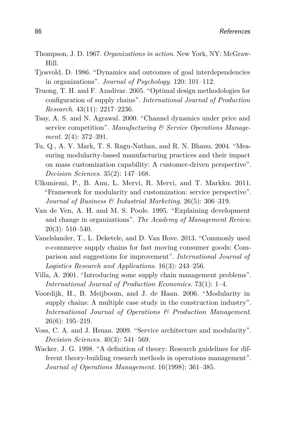- Thompson, J. D. 1967. *Organizations in action*. New York, NY: McGraw-Hill.
- Tjosvold, D. 1986. "Dynamics and outcomes of goal interdependencies in organizations". *Journal of Psychology*. 120: 101–112.
- Truong, T. H. and F. Azadivar. 2005. "Optimal design methodologies for configuration of supply chains". *International Journal of Production Research*. 43(11): 2217–2236.
- Tsay, A. S. and N. Agrawal. 2000. "Channel dynamics under price and service competition". *Manufacturing & Service Operations Management*. 2(4): 372–391.
- Tu, Q., A. V. Mark, T. S. Ragu-Nathan, and R. N. Bhanu. 2004. "Measuring modularity-based manufacturing practices and their impact on mass customization capability: A customer-driven perspective". *Decision Sciences*. 35(2): 147–168.
- Ulkuniemi, P., B. Anu, L. Mervi, R. Mervi, and T. Markku. 2011. "Framework for modularity and customization: service perspective". *Journal of Business & Industrial Marketing*. 26(5): 306–319.
- Van de Ven, A. H. and M. S. Poole. 1995. "Explaining development and change in organizations". *The Academy of Management Review*. 20(3): 510–540.
- Vanelslander, T., L. Deketele, and D. Van Hove. 2013. "Commonly used e-commerce supply chains for fast moving consumer goods: Comparison and suggestions for improvement". *International Journal of Logistics Research and Applications*. 16(3): 243–256.
- Villa, A. 2001. "Introducing some supply chain management problems". *International Journal of Production Economics*. 73(1): 1–4.
- Voordijk, H., B. Meijboom, and J. de Haan. 2006. "Modularity in supply chains: A multiple case study in the construction industry". *International Journal of Operations & Production Management*. 26(6): 195–219.
- Voss, C. A. and J. Hsuan. 2009. "Service architecture and modularity". *Decision Sciences*. 40(3): 541–569.
- Wacker, J. G. 1998. "A definition of theory: Research guidelines for different theory-building research methods in operations management". *Journal of Operations Management*. 16(1998): 361–385.